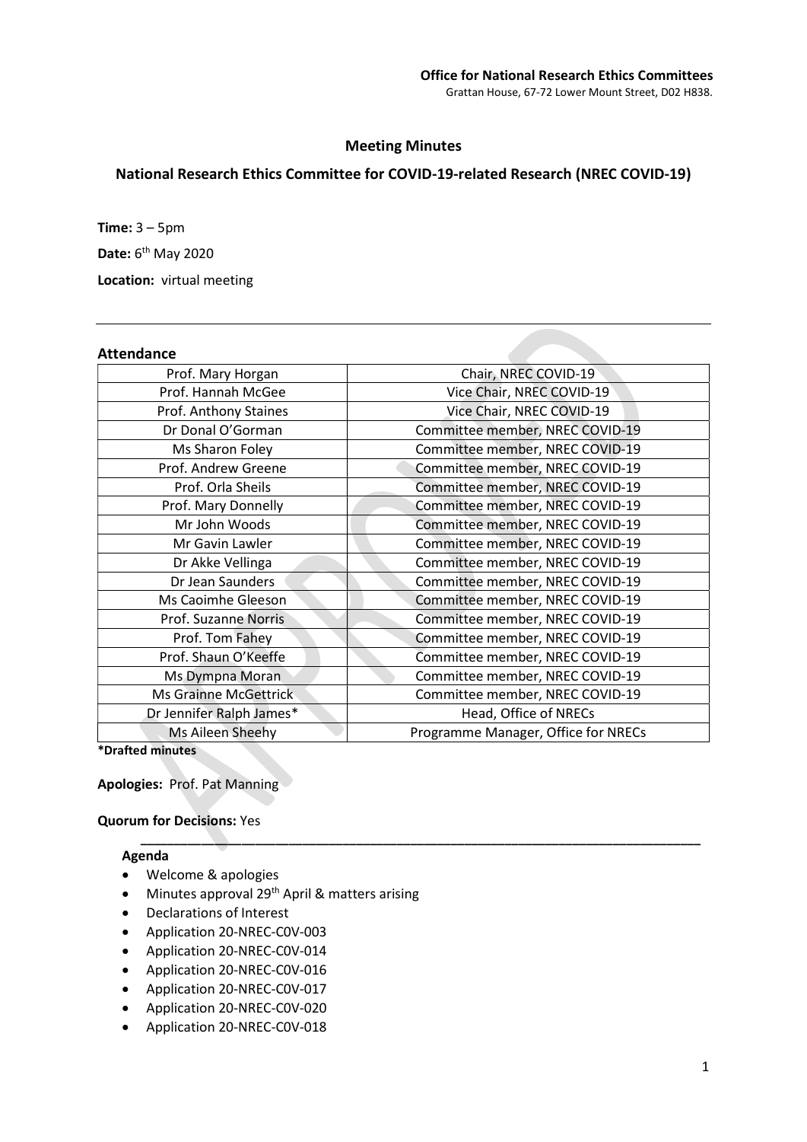## Meeting Minutes

# National Research Ethics Committee for COVID-19-related Research (NREC COVID-19)

Time:  $3 - 5$ pm Date: 6<sup>th</sup> May 2020 Location: virtual meeting

# Attendance

| Allchuanlc               |                                     |
|--------------------------|-------------------------------------|
| Prof. Mary Horgan        | Chair, NREC COVID-19                |
| Prof. Hannah McGee       | Vice Chair, NREC COVID-19           |
| Prof. Anthony Staines    | Vice Chair, NREC COVID-19           |
| Dr Donal O'Gorman        | Committee member, NREC COVID-19     |
| Ms Sharon Foley          | Committee member, NREC COVID-19     |
| Prof. Andrew Greene      | Committee member, NREC COVID-19     |
| Prof. Orla Sheils        | Committee member, NREC COVID-19     |
| Prof. Mary Donnelly      | Committee member, NREC COVID-19     |
| Mr John Woods            | Committee member, NREC COVID-19     |
| Mr Gavin Lawler          | Committee member, NREC COVID-19     |
| Dr Akke Vellinga         | Committee member, NREC COVID-19     |
| Dr Jean Saunders         | Committee member, NREC COVID-19     |
| Ms Caoimhe Gleeson       | Committee member, NREC COVID-19     |
| Prof. Suzanne Norris     | Committee member, NREC COVID-19     |
| Prof. Tom Fahey          | Committee member, NREC COVID-19     |
| Prof. Shaun O'Keeffe     | Committee member, NREC COVID-19     |
| Ms Dympna Moran          | Committee member, NREC COVID-19     |
| Ms Grainne McGettrick    | Committee member, NREC COVID-19     |
| Dr Jennifer Ralph James* | Head, Office of NRECs               |
| Ms Aileen Sheehy         | Programme Manager, Office for NRECs |
| *Drafted minutes         |                                     |

\_\_\_\_\_\_\_\_\_\_\_\_\_\_\_\_\_\_\_\_\_\_\_\_\_\_\_\_\_\_\_\_\_\_\_\_\_\_\_\_\_\_\_\_\_\_\_\_\_\_\_\_\_\_\_\_\_\_\_\_\_\_\_\_\_\_\_\_\_\_\_\_\_\_\_\_\_\_\_\_\_\_\_

Apologies: Prof. Pat Manning

Quorum for Decisions: Yes

#### Agenda

- Welcome & apologies
- Minutes approval 29<sup>th</sup> April & matters arising
- Declarations of Interest
- Application 20-NREC-C0V-003
- Application 20-NREC-C0V-014
- Application 20-NREC-C0V-016
- Application 20-NREC-C0V-017
- Application 20-NREC-C0V-020
- Application 20-NREC-C0V-018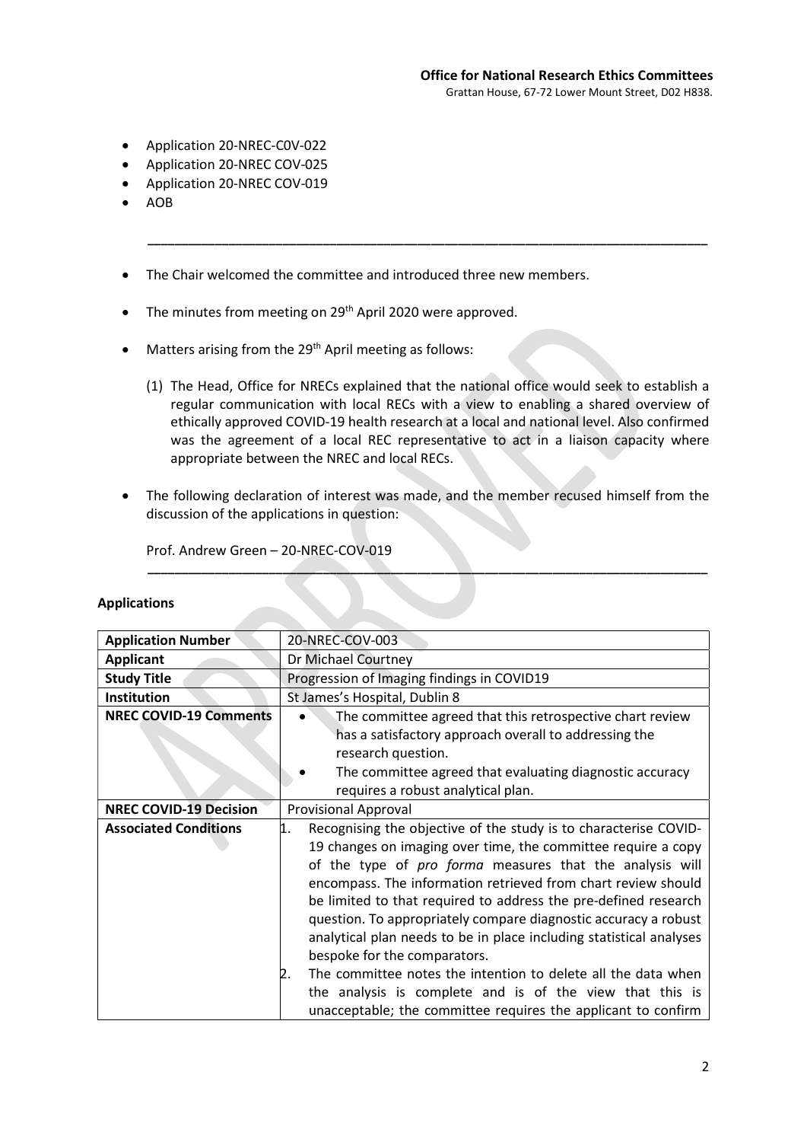- Application 20-NREC-C0V-022
- Application 20-NREC COV-025
- Application 20-NREC COV-019
- AOB
- The Chair welcomed the committee and introduced three new members.
- The minutes from meeting on 29<sup>th</sup> April 2020 were approved.
- $\bullet$  Matters arising from the 29<sup>th</sup> April meeting as follows:
	- (1) The Head, Office for NRECs explained that the national office would seek to establish a regular communication with local RECs with a view to enabling a shared overview of ethically approved COVID-19 health research at a local and national level. Also confirmed was the agreement of a local REC representative to act in a liaison capacity where appropriate between the NREC and local RECs.

\_\_\_\_\_\_\_\_\_\_\_\_\_\_\_\_\_\_\_\_\_\_\_\_\_\_\_\_\_\_\_\_\_\_\_\_\_\_\_\_\_\_\_\_\_\_\_\_\_\_\_\_\_\_\_\_\_\_\_\_\_\_\_\_\_\_\_\_\_\_\_\_\_\_\_\_\_\_\_\_\_\_\_

 The following declaration of interest was made, and the member recused himself from the discussion of the applications in question:

\_\_\_\_\_\_\_\_\_\_\_\_\_\_\_\_\_\_\_\_\_\_\_\_\_\_\_\_\_\_\_\_\_\_\_\_\_\_\_\_\_\_\_\_\_\_\_\_\_\_\_\_\_\_\_\_\_\_\_\_\_\_\_\_\_\_\_\_\_\_\_\_\_\_\_\_\_\_\_\_\_\_\_

Prof. Andrew Green – 20-NREC-COV-019

| <b>Application Number</b>     | 20-NREC-COV-003                                                                                                                                                                                                                                                                                                                                                                                                                                                                                                                                                                          |
|-------------------------------|------------------------------------------------------------------------------------------------------------------------------------------------------------------------------------------------------------------------------------------------------------------------------------------------------------------------------------------------------------------------------------------------------------------------------------------------------------------------------------------------------------------------------------------------------------------------------------------|
| <b>Applicant</b>              | Dr Michael Courtney                                                                                                                                                                                                                                                                                                                                                                                                                                                                                                                                                                      |
| <b>Study Title</b>            | Progression of Imaging findings in COVID19                                                                                                                                                                                                                                                                                                                                                                                                                                                                                                                                               |
| <b>Institution</b>            | St James's Hospital, Dublin 8                                                                                                                                                                                                                                                                                                                                                                                                                                                                                                                                                            |
| <b>NREC COVID-19 Comments</b> | The committee agreed that this retrospective chart review<br>has a satisfactory approach overall to addressing the<br>research question.<br>The committee agreed that evaluating diagnostic accuracy                                                                                                                                                                                                                                                                                                                                                                                     |
|                               | requires a robust analytical plan.                                                                                                                                                                                                                                                                                                                                                                                                                                                                                                                                                       |
| <b>NREC COVID-19 Decision</b> | Provisional Approval                                                                                                                                                                                                                                                                                                                                                                                                                                                                                                                                                                     |
| <b>Associated Conditions</b>  | Recognising the objective of the study is to characterise COVID-<br>1.<br>19 changes on imaging over time, the committee require a copy<br>of the type of pro forma measures that the analysis will<br>encompass. The information retrieved from chart review should<br>be limited to that required to address the pre-defined research<br>question. To appropriately compare diagnostic accuracy a robust<br>analytical plan needs to be in place including statistical analyses<br>bespoke for the comparators.<br>The committee notes the intention to delete all the data when<br>2. |
|                               | the analysis is complete and is of the view that this is<br>unacceptable; the committee requires the applicant to confirm                                                                                                                                                                                                                                                                                                                                                                                                                                                                |

## Applications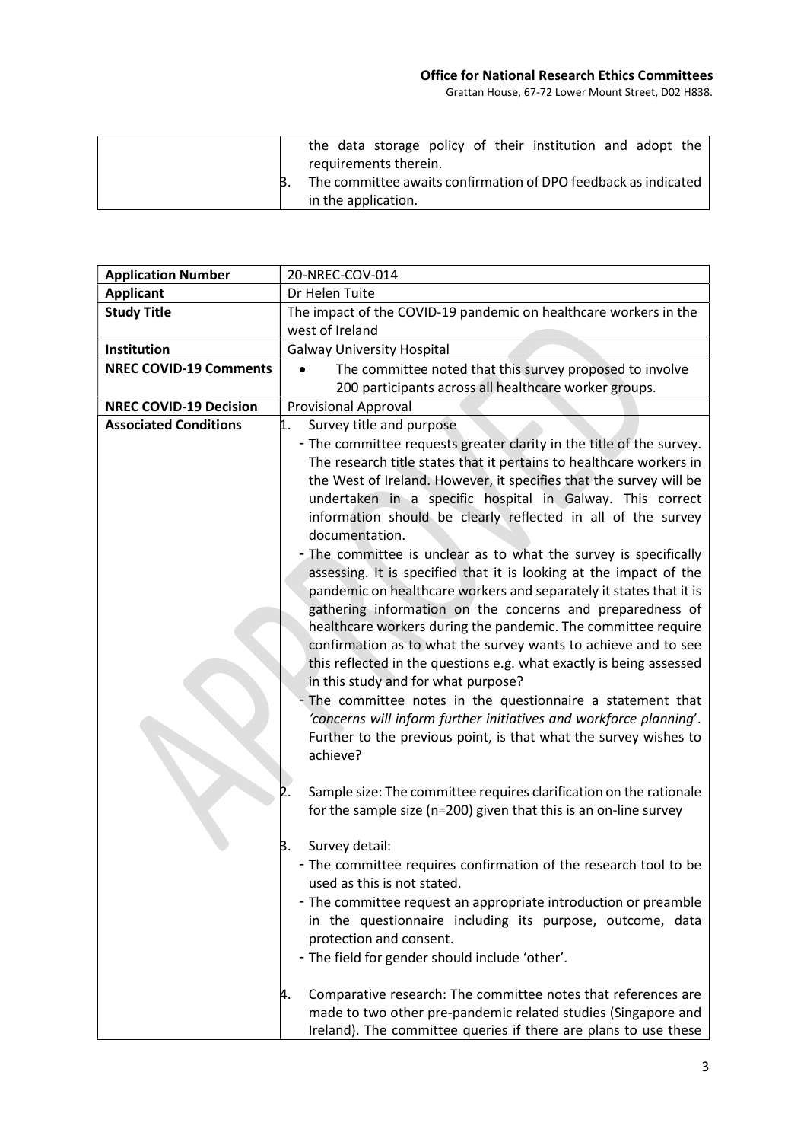|  |                       |  | the data storage policy of their institution and adopt the     |  |  |
|--|-----------------------|--|----------------------------------------------------------------|--|--|
|  | requirements therein. |  |                                                                |  |  |
|  |                       |  | The committee awaits confirmation of DPO feedback as indicated |  |  |
|  | in the application.   |  |                                                                |  |  |

| <b>Application Number</b>     | 20-NREC-COV-014                                                                                                                                                                                                                                                                                                                                                                                                                                                                                                                                                                                                                                                                                                                                                                                                                                                                                                                                                                                                                                                                                                   |
|-------------------------------|-------------------------------------------------------------------------------------------------------------------------------------------------------------------------------------------------------------------------------------------------------------------------------------------------------------------------------------------------------------------------------------------------------------------------------------------------------------------------------------------------------------------------------------------------------------------------------------------------------------------------------------------------------------------------------------------------------------------------------------------------------------------------------------------------------------------------------------------------------------------------------------------------------------------------------------------------------------------------------------------------------------------------------------------------------------------------------------------------------------------|
| <b>Applicant</b>              | Dr Helen Tuite                                                                                                                                                                                                                                                                                                                                                                                                                                                                                                                                                                                                                                                                                                                                                                                                                                                                                                                                                                                                                                                                                                    |
| <b>Study Title</b>            | The impact of the COVID-19 pandemic on healthcare workers in the                                                                                                                                                                                                                                                                                                                                                                                                                                                                                                                                                                                                                                                                                                                                                                                                                                                                                                                                                                                                                                                  |
|                               | west of Ireland                                                                                                                                                                                                                                                                                                                                                                                                                                                                                                                                                                                                                                                                                                                                                                                                                                                                                                                                                                                                                                                                                                   |
| Institution                   | <b>Galway University Hospital</b>                                                                                                                                                                                                                                                                                                                                                                                                                                                                                                                                                                                                                                                                                                                                                                                                                                                                                                                                                                                                                                                                                 |
| <b>NREC COVID-19 Comments</b> | The committee noted that this survey proposed to involve<br>$\bullet$                                                                                                                                                                                                                                                                                                                                                                                                                                                                                                                                                                                                                                                                                                                                                                                                                                                                                                                                                                                                                                             |
|                               | 200 participants across all healthcare worker groups.                                                                                                                                                                                                                                                                                                                                                                                                                                                                                                                                                                                                                                                                                                                                                                                                                                                                                                                                                                                                                                                             |
| <b>NREC COVID-19 Decision</b> | <b>Provisional Approval</b>                                                                                                                                                                                                                                                                                                                                                                                                                                                                                                                                                                                                                                                                                                                                                                                                                                                                                                                                                                                                                                                                                       |
| <b>Associated Conditions</b>  | 1.<br>Survey title and purpose                                                                                                                                                                                                                                                                                                                                                                                                                                                                                                                                                                                                                                                                                                                                                                                                                                                                                                                                                                                                                                                                                    |
|                               | - The committee requests greater clarity in the title of the survey.<br>The research title states that it pertains to healthcare workers in<br>the West of Ireland. However, it specifies that the survey will be<br>undertaken in a specific hospital in Galway. This correct<br>information should be clearly reflected in all of the survey<br>documentation.<br>- The committee is unclear as to what the survey is specifically<br>assessing. It is specified that it is looking at the impact of the<br>pandemic on healthcare workers and separately it states that it is<br>gathering information on the concerns and preparedness of<br>healthcare workers during the pandemic. The committee require<br>confirmation as to what the survey wants to achieve and to see<br>this reflected in the questions e.g. what exactly is being assessed<br>in this study and for what purpose?<br>The committee notes in the questionnaire a statement that<br>'concerns will inform further initiatives and workforce planning'.<br>Further to the previous point, is that what the survey wishes to<br>achieve? |
|                               | Sample size: The committee requires clarification on the rationale<br>for the sample size (n=200) given that this is an on-line survey                                                                                                                                                                                                                                                                                                                                                                                                                                                                                                                                                                                                                                                                                                                                                                                                                                                                                                                                                                            |
|                               | Survey detail:<br>В.<br>- The committee requires confirmation of the research tool to be<br>used as this is not stated.<br>- The committee request an appropriate introduction or preamble<br>in the questionnaire including its purpose, outcome, data<br>protection and consent.<br>- The field for gender should include 'other'.<br>Comparative research: The committee notes that references are<br>4.                                                                                                                                                                                                                                                                                                                                                                                                                                                                                                                                                                                                                                                                                                       |
|                               | made to two other pre-pandemic related studies (Singapore and<br>Ireland). The committee queries if there are plans to use these                                                                                                                                                                                                                                                                                                                                                                                                                                                                                                                                                                                                                                                                                                                                                                                                                                                                                                                                                                                  |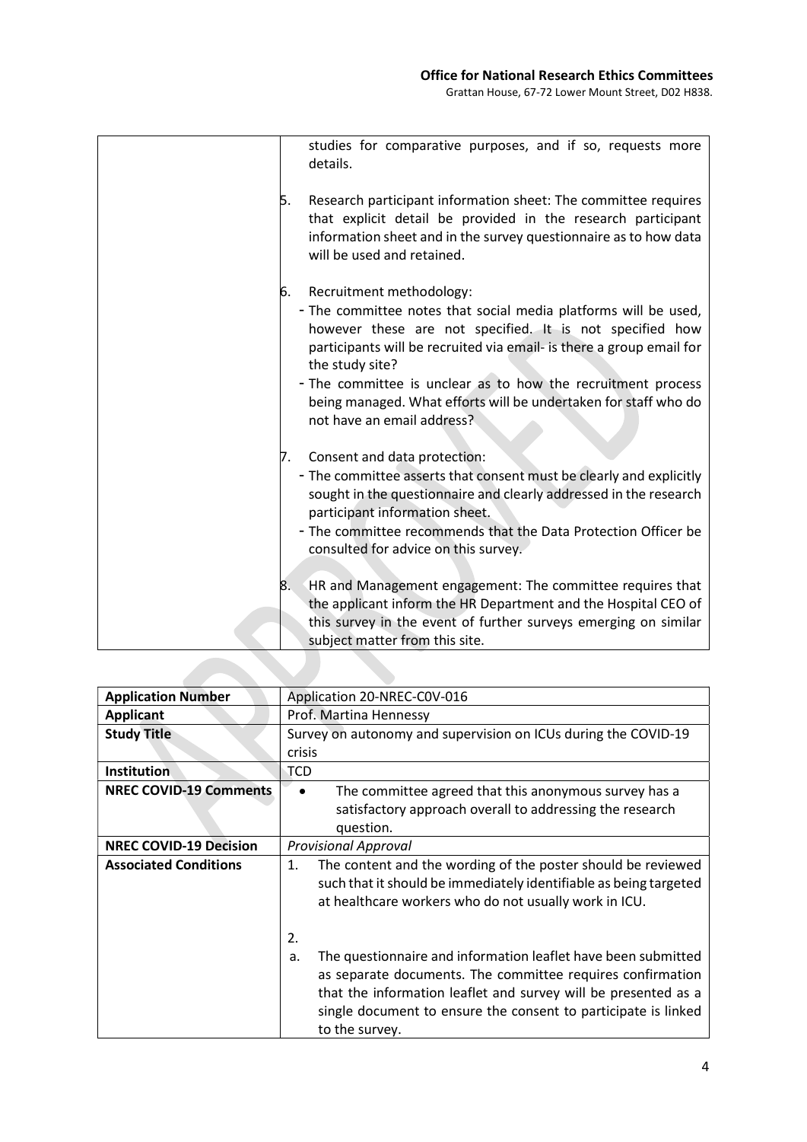|      | studies for comparative purposes, and if so, requests more<br>details.                                                                                                                                                                                                                                                                                                                                              |
|------|---------------------------------------------------------------------------------------------------------------------------------------------------------------------------------------------------------------------------------------------------------------------------------------------------------------------------------------------------------------------------------------------------------------------|
| Б.   | Research participant information sheet: The committee requires<br>that explicit detail be provided in the research participant<br>information sheet and in the survey questionnaire as to how data<br>will be used and retained.                                                                                                                                                                                    |
| 6.   | Recruitment methodology:<br>- The committee notes that social media platforms will be used,<br>however these are not specified. It is not specified how<br>participants will be recruited via email- is there a group email for<br>the study site?<br>- The committee is unclear as to how the recruitment process<br>being managed. What efforts will be undertaken for staff who do<br>not have an email address? |
| 7.   | Consent and data protection:<br>- The committee asserts that consent must be clearly and explicitly<br>sought in the questionnaire and clearly addressed in the research<br>participant information sheet.<br>- The committee recommends that the Data Protection Officer be<br>consulted for advice on this survey.                                                                                                |
| 8. . | HR and Management engagement: The committee requires that<br>the applicant inform the HR Department and the Hospital CEO of<br>this survey in the event of further surveys emerging on similar<br>subject matter from this site.                                                                                                                                                                                    |

| <b>Application Number</b>     | Application 20-NREC-COV-016                                                                                                                                                                                      |
|-------------------------------|------------------------------------------------------------------------------------------------------------------------------------------------------------------------------------------------------------------|
| <b>Applicant</b>              | Prof. Martina Hennessy                                                                                                                                                                                           |
| <b>Study Title</b>            | Survey on autonomy and supervision on ICUs during the COVID-19                                                                                                                                                   |
|                               | crisis                                                                                                                                                                                                           |
| <b>Institution</b>            | <b>TCD</b>                                                                                                                                                                                                       |
| <b>NREC COVID-19 Comments</b> | The committee agreed that this anonymous survey has a<br>$\bullet$                                                                                                                                               |
|                               | satisfactory approach overall to addressing the research                                                                                                                                                         |
|                               | question.                                                                                                                                                                                                        |
| <b>NREC COVID-19 Decision</b> | <b>Provisional Approval</b>                                                                                                                                                                                      |
| <b>Associated Conditions</b>  | The content and the wording of the poster should be reviewed<br>1.<br>such that it should be immediately identifiable as being targeted<br>at healthcare workers who do not usually work in ICU.                 |
|                               | 2.<br>The questionnaire and information leaflet have been submitted<br>a.                                                                                                                                        |
|                               | as separate documents. The committee requires confirmation<br>that the information leaflet and survey will be presented as a<br>single document to ensure the consent to participate is linked<br>to the survey. |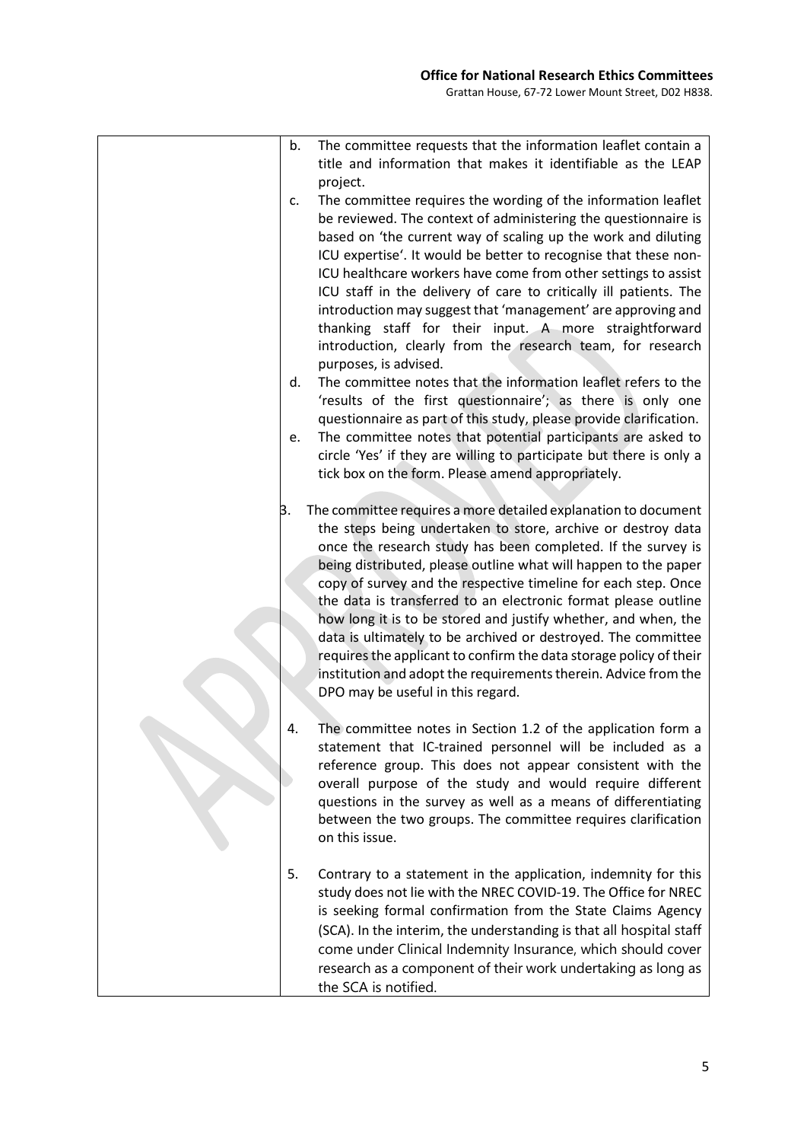| b. | The committee requests that the information leaflet contain a<br>title and information that makes it identifiable as the LEAP     |
|----|-----------------------------------------------------------------------------------------------------------------------------------|
| c. | project.<br>The committee requires the wording of the information leaflet                                                         |
|    | be reviewed. The context of administering the questionnaire is<br>based on 'the current way of scaling up the work and diluting   |
|    | ICU expertise'. It would be better to recognise that these non-                                                                   |
|    | ICU healthcare workers have come from other settings to assist                                                                    |
|    | ICU staff in the delivery of care to critically ill patients. The                                                                 |
|    | introduction may suggest that 'management' are approving and                                                                      |
|    | thanking staff for their input. A more straightforward                                                                            |
|    | introduction, clearly from the research team, for research                                                                        |
|    | purposes, is advised.                                                                                                             |
| d. | The committee notes that the information leaflet refers to the<br>'results of the first questionnaire'; as there is only one      |
|    | questionnaire as part of this study, please provide clarification.                                                                |
| e. | The committee notes that potential participants are asked to                                                                      |
|    | circle 'Yes' if they are willing to participate but there is only a                                                               |
|    | tick box on the form. Please amend appropriately.                                                                                 |
| в. | The committee requires a more detailed explanation to document                                                                    |
|    | the steps being undertaken to store, archive or destroy data                                                                      |
|    | once the research study has been completed. If the survey is                                                                      |
|    | being distributed, please outline what will happen to the paper<br>copy of survey and the respective timeline for each step. Once |
|    | the data is transferred to an electronic format please outline                                                                    |
|    | how long it is to be stored and justify whether, and when, the                                                                    |
|    | data is ultimately to be archived or destroyed. The committee                                                                     |
|    | requires the applicant to confirm the data storage policy of their                                                                |
|    | institution and adopt the requirements therein. Advice from the                                                                   |
|    | DPO may be useful in this regard.                                                                                                 |
| 4. | The committee notes in Section 1.2 of the application form a                                                                      |
|    | statement that IC-trained personnel will be included as a                                                                         |
|    | reference group. This does not appear consistent with the<br>overall purpose of the study and would require different             |
|    | questions in the survey as well as a means of differentiating                                                                     |
|    | between the two groups. The committee requires clarification                                                                      |
|    | on this issue.                                                                                                                    |
| 5. | Contrary to a statement in the application, indemnity for this                                                                    |
|    | study does not lie with the NREC COVID-19. The Office for NREC                                                                    |
|    | is seeking formal confirmation from the State Claims Agency                                                                       |
|    | (SCA). In the interim, the understanding is that all hospital staff                                                               |
|    | come under Clinical Indemnity Insurance, which should cover                                                                       |
|    | research as a component of their work undertaking as long as<br>the SCA is notified.                                              |
|    |                                                                                                                                   |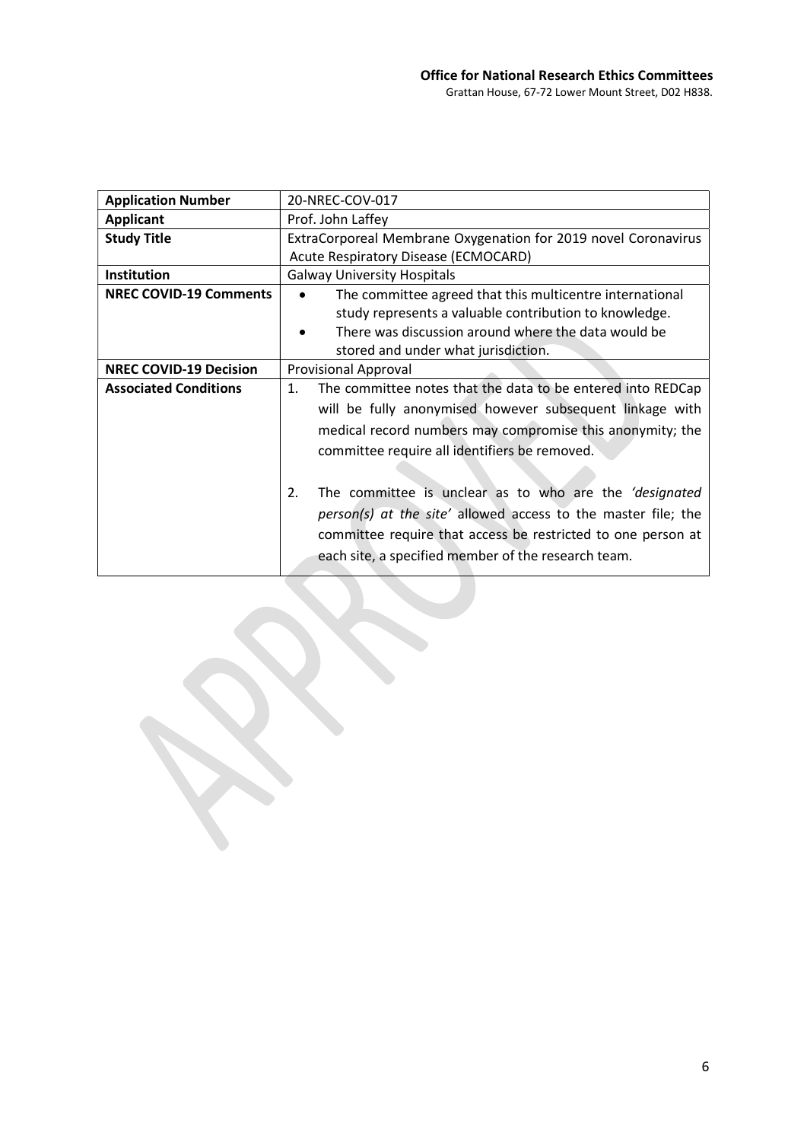| <b>Application Number</b>     | 20-NREC-COV-017                                                                                                                                                                               |
|-------------------------------|-----------------------------------------------------------------------------------------------------------------------------------------------------------------------------------------------|
| <b>Applicant</b>              | Prof. John Laffey                                                                                                                                                                             |
| <b>Study Title</b>            | ExtraCorporeal Membrane Oxygenation for 2019 novel Coronavirus                                                                                                                                |
|                               | Acute Respiratory Disease (ECMOCARD)                                                                                                                                                          |
| <b>Institution</b>            | <b>Galway University Hospitals</b>                                                                                                                                                            |
| <b>NREC COVID-19 Comments</b> | The committee agreed that this multicentre international<br>study represents a valuable contribution to knowledge.                                                                            |
|                               | There was discussion around where the data would be                                                                                                                                           |
|                               | stored and under what jurisdiction.                                                                                                                                                           |
| <b>NREC COVID-19 Decision</b> | <b>Provisional Approval</b>                                                                                                                                                                   |
| <b>Associated Conditions</b>  | The committee notes that the data to be entered into REDCap<br>1.                                                                                                                             |
|                               | will be fully anonymised however subsequent linkage with                                                                                                                                      |
|                               | medical record numbers may compromise this anonymity; the                                                                                                                                     |
|                               | committee require all identifiers be removed.                                                                                                                                                 |
|                               |                                                                                                                                                                                               |
|                               | The committee is unclear as to who are the 'designated<br>2.<br>person(s) at the site' allowed access to the master file; the<br>committee require that access be restricted to one person at |
|                               | each site, a specified member of the research team.                                                                                                                                           |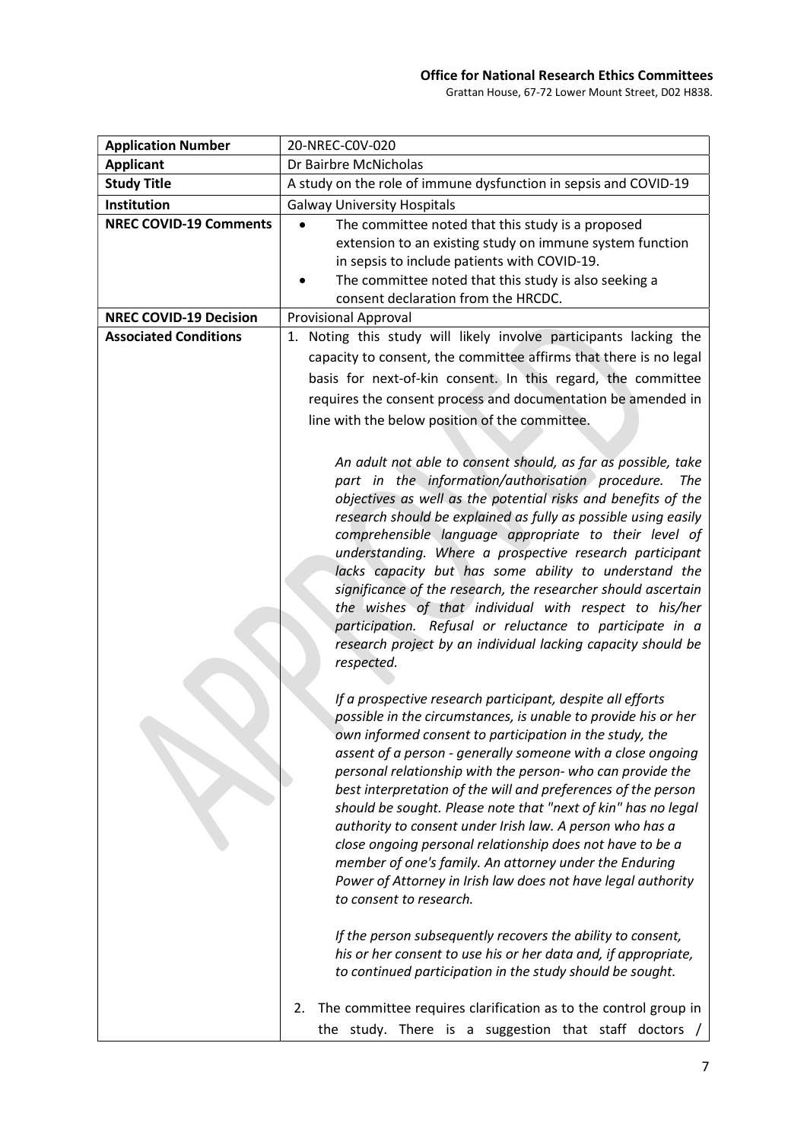| <b>Application Number</b>     | 20-NREC-C0V-020                                                                                                                                                                                                                                                                                                                                                                                                                                                                                                                                                                                                                                                                                                                                                                                                                                                       |
|-------------------------------|-----------------------------------------------------------------------------------------------------------------------------------------------------------------------------------------------------------------------------------------------------------------------------------------------------------------------------------------------------------------------------------------------------------------------------------------------------------------------------------------------------------------------------------------------------------------------------------------------------------------------------------------------------------------------------------------------------------------------------------------------------------------------------------------------------------------------------------------------------------------------|
| <b>Applicant</b>              | Dr Bairbre McNicholas                                                                                                                                                                                                                                                                                                                                                                                                                                                                                                                                                                                                                                                                                                                                                                                                                                                 |
| <b>Study Title</b>            | A study on the role of immune dysfunction in sepsis and COVID-19                                                                                                                                                                                                                                                                                                                                                                                                                                                                                                                                                                                                                                                                                                                                                                                                      |
| Institution                   | <b>Galway University Hospitals</b>                                                                                                                                                                                                                                                                                                                                                                                                                                                                                                                                                                                                                                                                                                                                                                                                                                    |
| <b>NREC COVID-19 Comments</b> | The committee noted that this study is a proposed<br>extension to an existing study on immune system function                                                                                                                                                                                                                                                                                                                                                                                                                                                                                                                                                                                                                                                                                                                                                         |
|                               | in sepsis to include patients with COVID-19.                                                                                                                                                                                                                                                                                                                                                                                                                                                                                                                                                                                                                                                                                                                                                                                                                          |
|                               | The committee noted that this study is also seeking a                                                                                                                                                                                                                                                                                                                                                                                                                                                                                                                                                                                                                                                                                                                                                                                                                 |
|                               | consent declaration from the HRCDC.                                                                                                                                                                                                                                                                                                                                                                                                                                                                                                                                                                                                                                                                                                                                                                                                                                   |
| <b>NREC COVID-19 Decision</b> | <b>Provisional Approval</b>                                                                                                                                                                                                                                                                                                                                                                                                                                                                                                                                                                                                                                                                                                                                                                                                                                           |
| <b>Associated Conditions</b>  | 1. Noting this study will likely involve participants lacking the                                                                                                                                                                                                                                                                                                                                                                                                                                                                                                                                                                                                                                                                                                                                                                                                     |
|                               | capacity to consent, the committee affirms that there is no legal                                                                                                                                                                                                                                                                                                                                                                                                                                                                                                                                                                                                                                                                                                                                                                                                     |
|                               | basis for next-of-kin consent. In this regard, the committee                                                                                                                                                                                                                                                                                                                                                                                                                                                                                                                                                                                                                                                                                                                                                                                                          |
|                               | requires the consent process and documentation be amended in                                                                                                                                                                                                                                                                                                                                                                                                                                                                                                                                                                                                                                                                                                                                                                                                          |
|                               | line with the below position of the committee.                                                                                                                                                                                                                                                                                                                                                                                                                                                                                                                                                                                                                                                                                                                                                                                                                        |
|                               |                                                                                                                                                                                                                                                                                                                                                                                                                                                                                                                                                                                                                                                                                                                                                                                                                                                                       |
|                               | An adult not able to consent should, as far as possible, take<br>part in the information/authorisation procedure.<br>The<br>objectives as well as the potential risks and benefits of the<br>research should be explained as fully as possible using easily<br>comprehensible language appropriate to their level of<br>understanding. Where a prospective research participant<br>lacks capacity but has some ability to understand the<br>significance of the research, the researcher should ascertain<br>the wishes of that individual with respect to his/her<br>participation. Refusal or reluctance to participate in a<br>research project by an individual lacking capacity should be<br>respected.                                                                                                                                                          |
|                               | If a prospective research participant, despite all efforts<br>possible in the circumstances, is unable to provide his or her<br>own informed consent to participation in the study, the<br>assent of a person - generally someone with a close ongoing<br>personal relationship with the person- who can provide the<br>best interpretation of the will and preferences of the person<br>should be sought. Please note that "next of kin" has no legal<br>authority to consent under Irish law. A person who has a<br>close ongoing personal relationship does not have to be a<br>member of one's family. An attorney under the Enduring<br>Power of Attorney in Irish law does not have legal authority<br>to consent to research.<br>If the person subsequently recovers the ability to consent,<br>his or her consent to use his or her data and, if appropriate, |
|                               | to continued participation in the study should be sought.<br>The committee requires clarification as to the control group in<br>2.<br>the study. There is a suggestion that staff doctors /                                                                                                                                                                                                                                                                                                                                                                                                                                                                                                                                                                                                                                                                           |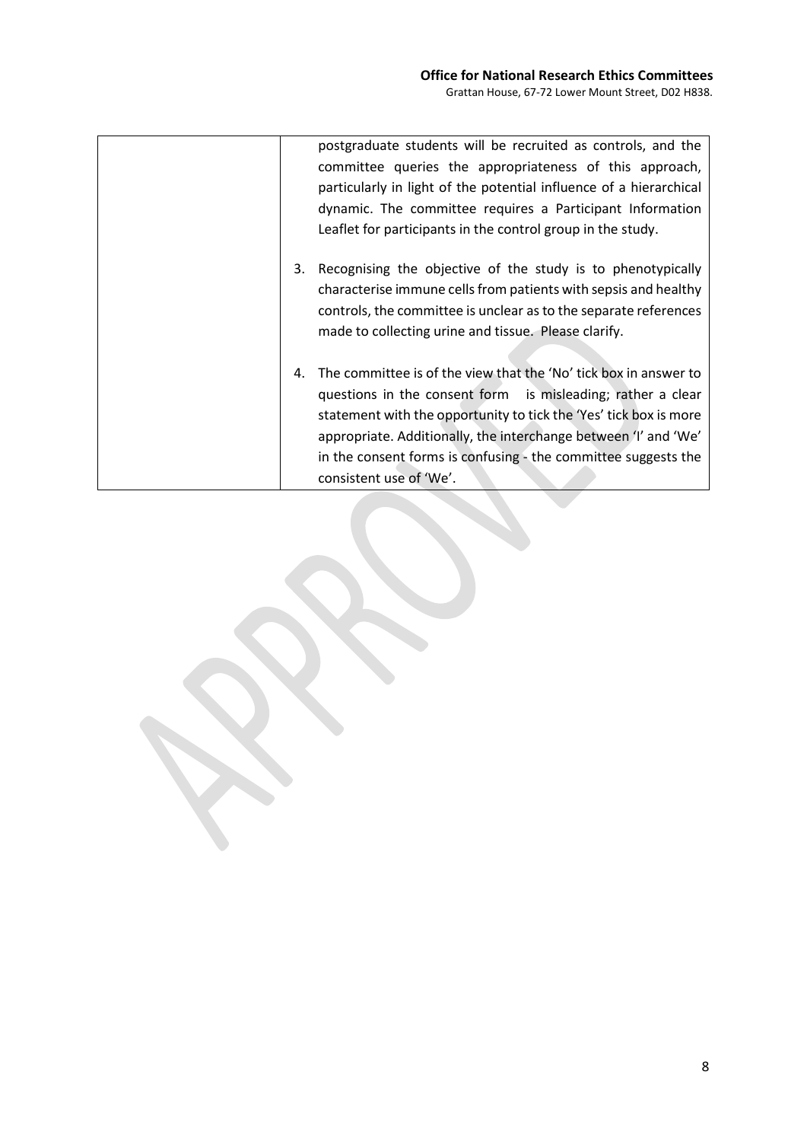|    | postgraduate students will be recruited as controls, and the<br>committee queries the appropriateness of this approach,<br>particularly in light of the potential influence of a hierarchical<br>dynamic. The committee requires a Participant Information<br>Leaflet for participants in the control group in the study.                                                                   |
|----|---------------------------------------------------------------------------------------------------------------------------------------------------------------------------------------------------------------------------------------------------------------------------------------------------------------------------------------------------------------------------------------------|
| 3. | Recognising the objective of the study is to phenotypically<br>characterise immune cells from patients with sepsis and healthy<br>controls, the committee is unclear as to the separate references<br>made to collecting urine and tissue. Please clarify.                                                                                                                                  |
| 4. | The committee is of the view that the 'No' tick box in answer to<br>questions in the consent form is misleading; rather a clear<br>statement with the opportunity to tick the 'Yes' tick box is more<br>appropriate. Additionally, the interchange between 'I' and 'We'<br>in the consent forms is confusing $\overline{\phantom{a}}$ the committee suggests the<br>consistent use of 'We'. |

8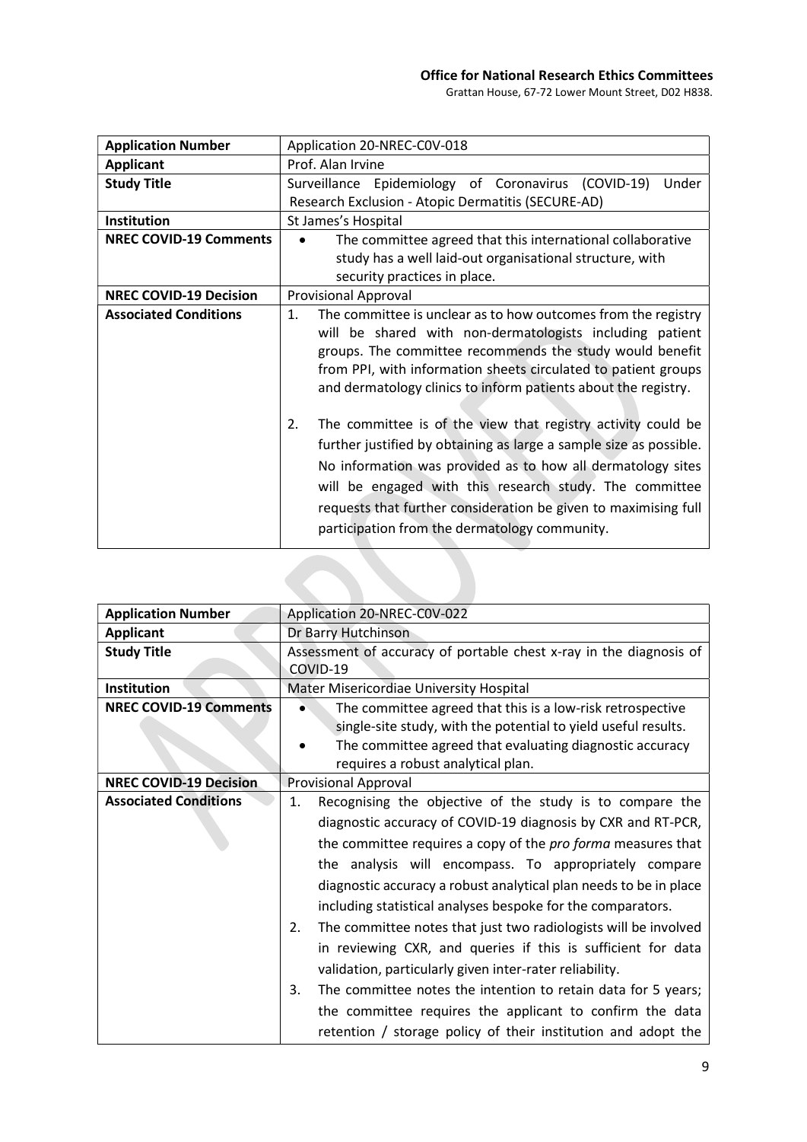| <b>Application Number</b>     | Application 20-NREC-COV-018                                                                                                                                                                                                                                                                                                                                                            |
|-------------------------------|----------------------------------------------------------------------------------------------------------------------------------------------------------------------------------------------------------------------------------------------------------------------------------------------------------------------------------------------------------------------------------------|
| <b>Applicant</b>              | Prof. Alan Irvine                                                                                                                                                                                                                                                                                                                                                                      |
| <b>Study Title</b>            | Surveillance Epidemiology of Coronavirus (COVID-19)<br>Under                                                                                                                                                                                                                                                                                                                           |
|                               | Research Exclusion - Atopic Dermatitis (SECURE-AD)                                                                                                                                                                                                                                                                                                                                     |
| Institution                   | St James's Hospital                                                                                                                                                                                                                                                                                                                                                                    |
| <b>NREC COVID-19 Comments</b> | The committee agreed that this international collaborative                                                                                                                                                                                                                                                                                                                             |
|                               | study has a well laid-out organisational structure, with                                                                                                                                                                                                                                                                                                                               |
|                               | security practices in place.                                                                                                                                                                                                                                                                                                                                                           |
| <b>NREC COVID-19 Decision</b> | <b>Provisional Approval</b>                                                                                                                                                                                                                                                                                                                                                            |
| <b>Associated Conditions</b>  | The committee is unclear as to how outcomes from the registry<br>1.<br>will be shared with non-dermatologists including patient<br>groups. The committee recommends the study would benefit<br>from PPI, with information sheets circulated to patient groups<br>and dermatology clinics to inform patients about the registry.                                                        |
|                               | The committee is of the view that registry activity could be<br>2.<br>further justified by obtaining as large a sample size as possible.<br>No information was provided as to how all dermatology sites<br>will be engaged with this research study. The committee<br>requests that further consideration be given to maximising full<br>participation from the dermatology community. |

| Dr Barry Hutchinson                                                |
|--------------------------------------------------------------------|
| Assessment of accuracy of portable chest x-ray in the diagnosis of |
| COVID-19                                                           |
| Mater Misericordiae University Hospital                            |
| The committee agreed that this is a low-risk retrospective         |
| single-site study, with the potential to yield useful results.     |
| The committee agreed that evaluating diagnostic accuracy           |
| requires a robust analytical plan.                                 |
| <b>Provisional Approval</b>                                        |
| Recognising the objective of the study is to compare the           |
| diagnostic accuracy of COVID-19 diagnosis by CXR and RT-PCR,       |
| the committee requires a copy of the pro forma measures that       |
| the analysis will encompass. To appropriately compare              |
| diagnostic accuracy a robust analytical plan needs to be in place  |
|                                                                    |
| including statistical analyses bespoke for the comparators.        |
| The committee notes that just two radiologists will be involved    |
| in reviewing CXR, and queries if this is sufficient for data       |
| validation, particularly given inter-rater reliability.            |
| The committee notes the intention to retain data for 5 years;      |
| the committee requires the applicant to confirm the data           |
| retention / storage policy of their institution and adopt the      |
|                                                                    |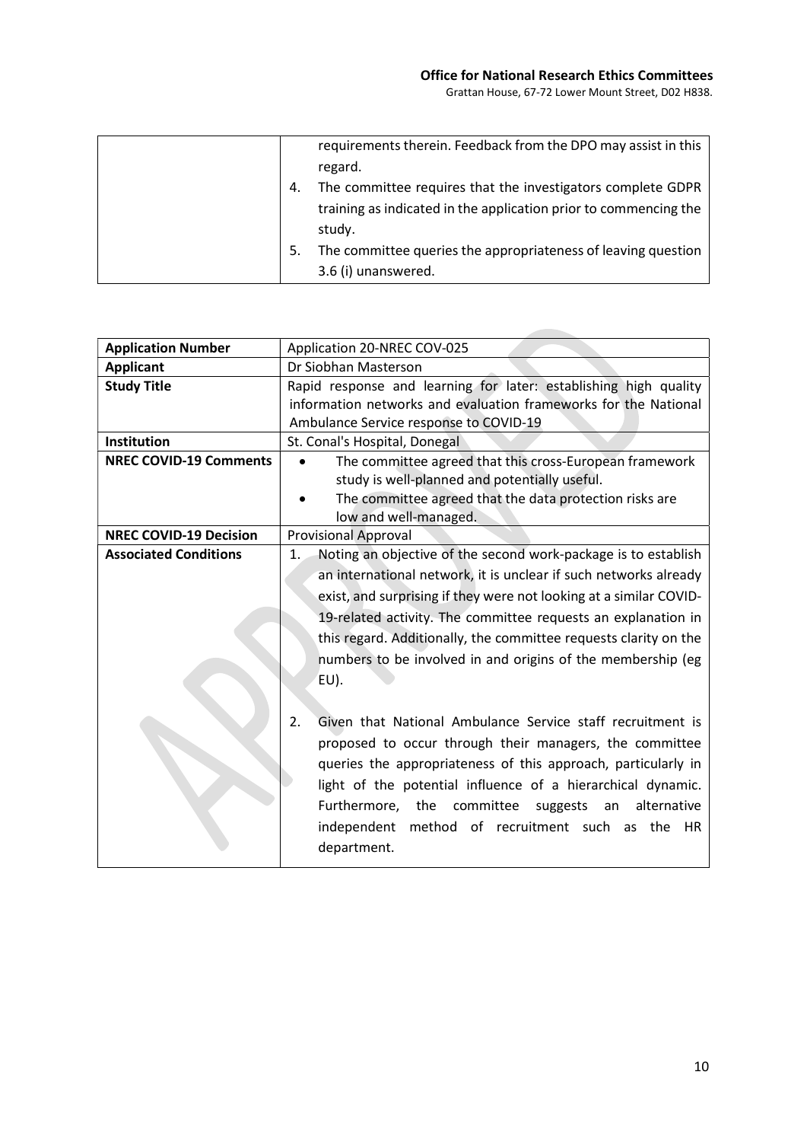**Contract Contract** 

|    | requirements therein. Feedback from the DPO may assist in this   |
|----|------------------------------------------------------------------|
|    | regard.                                                          |
| 4. | The committee requires that the investigators complete GDPR      |
|    | training as indicated in the application prior to commencing the |
|    | study.                                                           |
| 5. | The committee queries the appropriateness of leaving question    |
|    | 3.6 (i) unanswered.                                              |

| <b>Application Number</b>     | Application 20-NREC COV-025                                          |
|-------------------------------|----------------------------------------------------------------------|
| <b>Applicant</b>              | Dr Siobhan Masterson                                                 |
| <b>Study Title</b>            | Rapid response and learning for later: establishing high quality     |
|                               | information networks and evaluation frameworks for the National      |
|                               | Ambulance Service response to COVID-19                               |
| <b>Institution</b>            | St. Conal's Hospital, Donegal                                        |
| <b>NREC COVID-19 Comments</b> | The committee agreed that this cross-European framework              |
|                               | study is well-planned and potentially useful.                        |
|                               | The committee agreed that the data protection risks are              |
|                               | low and well-managed.                                                |
| <b>NREC COVID-19 Decision</b> | <b>Provisional Approval</b>                                          |
| <b>Associated Conditions</b>  | Noting an objective of the second work-package is to establish<br>1. |
|                               | an international network, it is unclear if such networks already     |
|                               | exist, and surprising if they were not looking at a similar COVID-   |
|                               | 19-related activity. The committee requests an explanation in        |
|                               | this regard. Additionally, the committee requests clarity on the     |
|                               | numbers to be involved in and origins of the membership (eg          |
|                               |                                                                      |
|                               | EU).                                                                 |
|                               |                                                                      |
|                               | Given that National Ambulance Service staff recruitment is<br>2.     |
|                               | proposed to occur through their managers, the committee              |
|                               | queries the appropriateness of this approach, particularly in        |
|                               | light of the potential influence of a hierarchical dynamic.          |
|                               | Furthermore, the committee suggests<br>alternative<br>an             |
|                               | independent<br>method of recruitment such as the HR                  |
|                               |                                                                      |
|                               | department.                                                          |